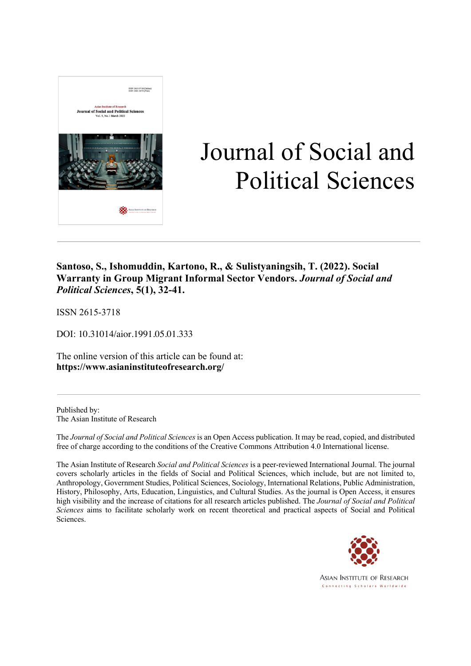

# Journal of Social and Political Sciences

### **Santoso, S., Ishomuddin, Kartono, R., & Sulistyaningsih, T. (2022). Social Warranty in Group Migrant Informal Sector Vendors.** *Journal of Social and Political Sciences***, 5(1), 32-41.**

ISSN 2615-3718

DOI: 10.31014/aior.1991.05.01.333

The online version of this article can be found at: **https://www.asianinstituteofresearch.org/**

Published by: The Asian Institute of Research

The *Journal of Social and Political Sciences* is an Open Access publication. It may be read, copied, and distributed free of charge according to the conditions of the Creative Commons Attribution 4.0 International license.

The Asian Institute of Research *Social and Political Sciences* is a peer-reviewed International Journal. The journal covers scholarly articles in the fields of Social and Political Sciences, which include, but are not limited to, Anthropology, Government Studies, Political Sciences, Sociology, International Relations, Public Administration, History, Philosophy, Arts, Education, Linguistics, and Cultural Studies. As the journal is Open Access, it ensures high visibility and the increase of citations for all research articles published. The *Journal of Social and Political Sciences* aims to facilitate scholarly work on recent theoretical and practical aspects of Social and Political Sciences.



**ASIAN INSTITUTE OF RESEARCH** Connecting Scholars Worldwide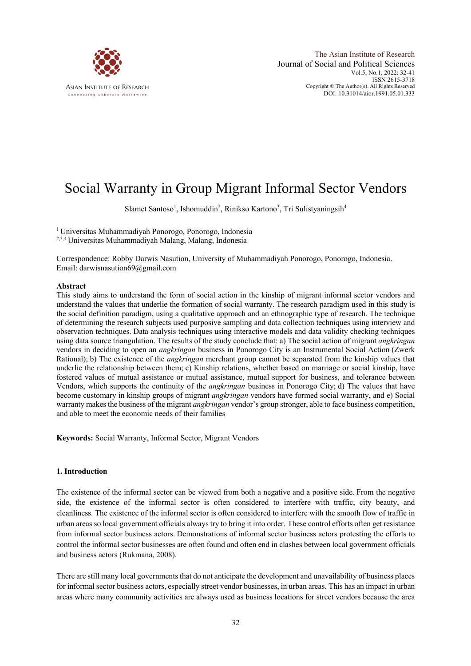

## Social Warranty in Group Migrant Informal Sector Vendors

Slamet Santoso<sup>1</sup>, Ishomuddin<sup>2</sup>, Rinikso Kartono<sup>3</sup>, Tri Sulistyaningsih<sup>4</sup>

1 Universitas Muhammadiyah Ponorogo, Ponorogo, Indonesia 2,3,4 Universitas Muhammadiyah Malang, Malang, Indonesia

Correspondence: Robby Darwis Nasution, University of Muhammadiyah Ponorogo, Ponorogo, Indonesia. Email: darwisnasution69@gmail.com

#### **Abstract**

This study aims to understand the form of social action in the kinship of migrant informal sector vendors and understand the values that underlie the formation of social warranty. The research paradigm used in this study is the social definition paradigm, using a qualitative approach and an ethnographic type of research. The technique of determining the research subjects used purposive sampling and data collection techniques using interview and observation techniques. Data analysis techniques using interactive models and data validity checking techniques using data source triangulation. The results of the study conclude that: a) The social action of migrant *angkringan*  vendors in deciding to open an *angkringan* business in Ponorogo City is an Instrumental Social Action (Zwerk Rational); b) The existence of the *angkringan* merchant group cannot be separated from the kinship values that underlie the relationship between them; c) Kinship relations, whether based on marriage or social kinship, have fostered values of mutual assistance or mutual assistance, mutual support for business, and tolerance between Vendors, which supports the continuity of the *angkringan* business in Ponorogo City; d) The values that have become customary in kinship groups of migrant *angkringan* vendors have formed social warranty, and e) Social warranty makes the business of the migrant *angkringan* vendor's group stronger, able to face business competition, and able to meet the economic needs of their families

**Keywords:** Social Warranty, Informal Sector, Migrant Vendors

#### **1. Introduction**

The existence of the informal sector can be viewed from both a negative and a positive side. From the negative side, the existence of the informal sector is often considered to interfere with traffic, city beauty, and cleanliness. The existence of the informal sector is often considered to interfere with the smooth flow of traffic in urban areas so local government officials always try to bring it into order. These control efforts often get resistance from informal sector business actors. Demonstrations of informal sector business actors protesting the efforts to control the informal sector businesses are often found and often end in clashes between local government officials and business actors (Rukmana, 2008).

There are still many local governments that do not anticipate the development and unavailability of business places for informal sector business actors, especially street vendor businesses, in urban areas. This has an impact in urban areas where many community activities are always used as business locations for street vendors because the area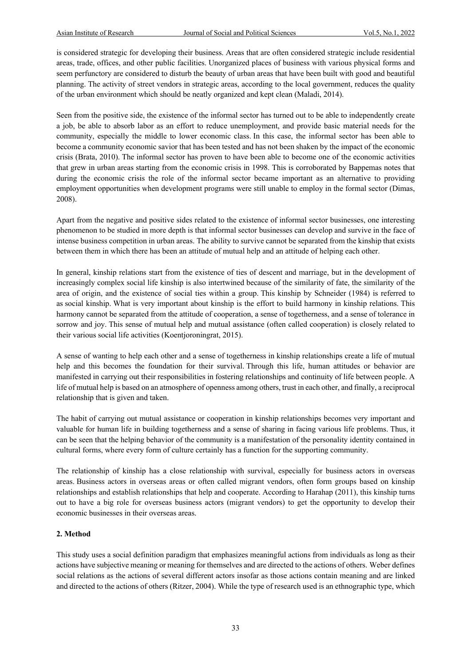is considered strategic for developing their business. Areas that are often considered strategic include residential areas, trade, offices, and other public facilities. Unorganized places of business with various physical forms and seem perfunctory are considered to disturb the beauty of urban areas that have been built with good and beautiful planning. The activity of street vendors in strategic areas, according to the local government, reduces the quality of the urban environment which should be neatly organized and kept clean (Maladi, 2014).

Seen from the positive side, the existence of the informal sector has turned out to be able to independently create a job, be able to absorb labor as an effort to reduce unemployment, and provide basic material needs for the community, especially the middle to lower economic class. In this case, the informal sector has been able to become a community economic savior that has been tested and has not been shaken by the impact of the economic crisis (Brata, 2010). The informal sector has proven to have been able to become one of the economic activities that grew in urban areas starting from the economic crisis in 1998. This is corroborated by Bappemas notes that during the economic crisis the role of the informal sector became important as an alternative to providing employment opportunities when development programs were still unable to employ in the formal sector (Dimas, 2008).

Apart from the negative and positive sides related to the existence of informal sector businesses, one interesting phenomenon to be studied in more depth is that informal sector businesses can develop and survive in the face of intense business competition in urban areas. The ability to survive cannot be separated from the kinship that exists between them in which there has been an attitude of mutual help and an attitude of helping each other.

In general, kinship relations start from the existence of ties of descent and marriage, but in the development of increasingly complex social life kinship is also intertwined because of the similarity of fate, the similarity of the area of origin, and the existence of social ties within a group. This kinship by Schneider (1984) is referred to as social kinship. What is very important about kinship is the effort to build harmony in kinship relations. This harmony cannot be separated from the attitude of cooperation, a sense of togetherness, and a sense of tolerance in sorrow and joy. This sense of mutual help and mutual assistance (often called cooperation) is closely related to their various social life activities (Koentjoroningrat, 2015).

A sense of wanting to help each other and a sense of togetherness in kinship relationships create a life of mutual help and this becomes the foundation for their survival. Through this life, human attitudes or behavior are manifested in carrying out their responsibilities in fostering relationships and continuity of life between people. A life of mutual help is based on an atmosphere of openness among others, trust in each other, and finally, a reciprocal relationship that is given and taken.

The habit of carrying out mutual assistance or cooperation in kinship relationships becomes very important and valuable for human life in building togetherness and a sense of sharing in facing various life problems. Thus, it can be seen that the helping behavior of the community is a manifestation of the personality identity contained in cultural forms, where every form of culture certainly has a function for the supporting community.

The relationship of kinship has a close relationship with survival, especially for business actors in overseas areas. Business actors in overseas areas or often called migrant vendors, often form groups based on kinship relationships and establish relationships that help and cooperate. According to Harahap (2011), this kinship turns out to have a big role for overseas business actors (migrant vendors) to get the opportunity to develop their economic businesses in their overseas areas.

#### **2. Method**

This study uses a social definition paradigm that emphasizes meaningful actions from individuals as long as their actions have subjective meaning or meaning for themselves and are directed to the actions of others. Weber defines social relations as the actions of several different actors insofar as those actions contain meaning and are linked and directed to the actions of others (Ritzer, 2004). While the type of research used is an ethnographic type, which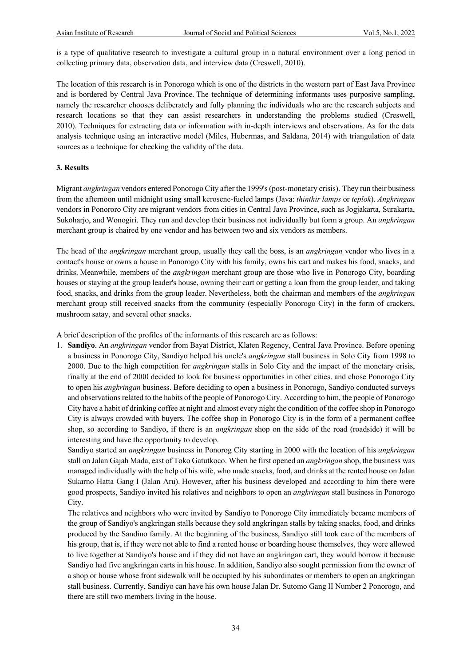is a type of qualitative research to investigate a cultural group in a natural environment over a long period in collecting primary data, observation data, and interview data (Creswell, 2010).

The location of this research is in Ponorogo which is one of the districts in the western part of East Java Province and is bordered by Central Java Province. The technique of determining informants uses purposive sampling, namely the researcher chooses deliberately and fully planning the individuals who are the research subjects and research locations so that they can assist researchers in understanding the problems studied (Creswell, 2010). Techniques for extracting data or information with in-depth interviews and observations. As for the data analysis technique using an interactive model (Miles, Hubermas, and Saldana, 2014) with triangulation of data sources as a technique for checking the validity of the data.

#### **3. Results**

Migrant *angkringan* vendors entered Ponorogo City after the 1999's (post-monetary crisis). They run their business from the afternoon until midnight using small kerosene-fueled lamps (Java: *thinthir lamps* or *teplok*). *Angkringan*  vendors in Ponororo City are migrant vendors from cities in Central Java Province, such as Jogjakarta, Surakarta, Sukoharjo, and Wonogiri. They run and develop their business not individually but form a group. An *angkringan*  merchant group is chaired by one vendor and has between two and six vendors as members.

The head of the *angkringan* merchant group, usually they call the boss, is an *angkringan* vendor who lives in a contact's house or owns a house in Ponorogo City with his family, owns his cart and makes his food, snacks, and drinks. Meanwhile, members of the *angkringan* merchant group are those who live in Ponorogo City, boarding houses or staying at the group leader's house, owning their cart or getting a loan from the group leader, and taking food, snacks, and drinks from the group leader. Nevertheless, both the chairman and members of the *angkringan* merchant group still received snacks from the community (especially Ponorogo City) in the form of crackers, mushroom satay, and several other snacks.

A brief description of the profiles of the informants of this research are as follows:

1. **Sandiyo**. An *angkringan* vendor from Bayat District, Klaten Regency, Central Java Province. Before opening a business in Ponorogo City, Sandiyo helped his uncle's *angkringan* stall business in Solo City from 1998 to 2000. Due to the high competition for *angkringan* stalls in Solo City and the impact of the monetary crisis, finally at the end of 2000 decided to look for business opportunities in other cities. and chose Ponorogo City to open his *angkringan* business. Before deciding to open a business in Ponorogo, Sandiyo conducted surveys and observations related to the habits of the people of Ponorogo City. According to him, the people of Ponorogo City have a habit of drinking coffee at night and almost every night the condition of the coffee shop in Ponorogo City is always crowded with buyers. The coffee shop in Ponorogo City is in the form of a permanent coffee shop, so according to Sandiyo, if there is an *angkringan* shop on the side of the road (roadside) it will be interesting and have the opportunity to develop.

Sandiyo started an *angkringan* business in Ponorog City starting in 2000 with the location of his *angkringan*  stall on Jalan Gajah Mada, east of Toko Gatutkoco. When he first opened an *angkringan* shop, the business was managed individually with the help of his wife, who made snacks, food, and drinks at the rented house on Jalan Sukarno Hatta Gang I (Jalan Aru). However, after his business developed and according to him there were good prospects, Sandiyo invited his relatives and neighbors to open an *angkringan* stall business in Ponorogo City.

The relatives and neighbors who were invited by Sandiyo to Ponorogo City immediately became members of the group of Sandiyo's angkringan stalls because they sold angkringan stalls by taking snacks, food, and drinks produced by the Sandino family. At the beginning of the business, Sandiyo still took care of the members of his group, that is, if they were not able to find a rented house or boarding house themselves, they were allowed to live together at Sandiyo's house and if they did not have an angkringan cart, they would borrow it because Sandiyo had five angkringan carts in his house. In addition, Sandiyo also sought permission from the owner of a shop or house whose front sidewalk will be occupied by his subordinates or members to open an angkringan stall business. Currently, Sandiyo can have his own house Jalan Dr. Sutomo Gang II Number 2 Ponorogo, and there are still two members living in the house.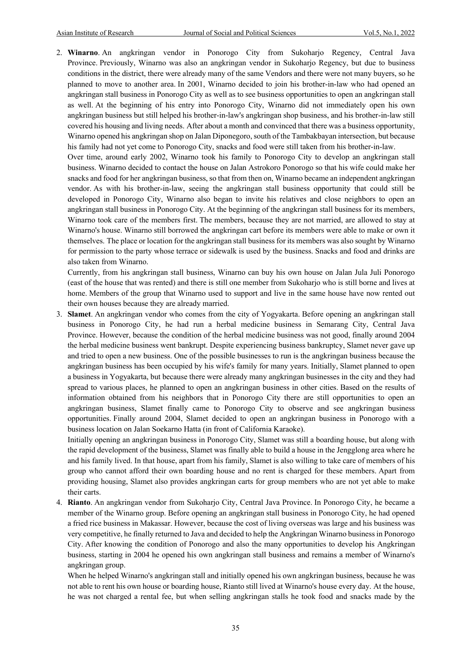2. **Winarno**. An angkringan vendor in Ponorogo City from Sukoharjo Regency, Central Java Province. Previously, Winarno was also an angkringan vendor in Sukoharjo Regency, but due to business conditions in the district, there were already many of the same Vendors and there were not many buyers, so he planned to move to another area. In 2001, Winarno decided to join his brother-in-law who had opened an angkringan stall business in Ponorogo City as well as to see business opportunities to open an angkringan stall as well. At the beginning of his entry into Ponorogo City, Winarno did not immediately open his own angkringan business but still helped his brother-in-law's angkringan shop business, and his brother-in-law still covered his housing and living needs. After about a month and convinced that there was a business opportunity, Winarno opened his angkringan shop on Jalan Diponegoro, south of the Tambakbayan intersection, but because his family had not yet come to Ponorogo City, snacks and food were still taken from his brother-in-law.

Over time, around early 2002, Winarno took his family to Ponorogo City to develop an angkringan stall business. Winarno decided to contact the house on Jalan Astrokoro Ponorogo so that his wife could make her snacks and food for her angkringan business, so that from then on, Winarno became an independent angkringan vendor. As with his brother-in-law, seeing the angkringan stall business opportunity that could still be developed in Ponorogo City, Winarno also began to invite his relatives and close neighbors to open an angkringan stall business in Ponorogo City. At the beginning of the angkringan stall business for its members, Winarno took care of the members first. The members, because they are not married, are allowed to stay at Winarno's house. Winarno still borrowed the angkringan cart before its members were able to make or own it themselves. The place or location for the angkringan stall business for its members was also sought by Winarno for permission to the party whose terrace or sidewalk is used by the business. Snacks and food and drinks are also taken from Winarno.

Currently, from his angkringan stall business, Winarno can buy his own house on Jalan Jula Juli Ponorogo (east of the house that was rented) and there is still one member from Sukoharjo who is still borne and lives at home. Members of the group that Winarno used to support and live in the same house have now rented out their own houses because they are already married.

3. **Slamet**. An angkringan vendor who comes from the city of Yogyakarta. Before opening an angkringan stall business in Ponorogo City, he had run a herbal medicine business in Semarang City, Central Java Province. However, because the condition of the herbal medicine business was not good, finally around 2004 the herbal medicine business went bankrupt. Despite experiencing business bankruptcy, Slamet never gave up and tried to open a new business. One of the possible businesses to run is the angkringan business because the angkringan business has been occupied by his wife's family for many years. Initially, Slamet planned to open a business in Yogyakarta, but because there were already many angkringan businesses in the city and they had spread to various places, he planned to open an angkringan business in other cities. Based on the results of information obtained from his neighbors that in Ponorogo City there are still opportunities to open an angkringan business, Slamet finally came to Ponorogo City to observe and see angkringan business opportunities. Finally around 2004, Slamet decided to open an angkringan business in Ponorogo with a business location on Jalan Soekarno Hatta (in front of California Karaoke).

Initially opening an angkringan business in Ponorogo City, Slamet was still a boarding house, but along with the rapid development of the business, Slamet was finally able to build a house in the Jengglong area where he and his family lived. In that house, apart from his family, Slamet is also willing to take care of members of his group who cannot afford their own boarding house and no rent is charged for these members. Apart from providing housing, Slamet also provides angkringan carts for group members who are not yet able to make their carts.

4. **Rianto**. An angkringan vendor from Sukoharjo City, Central Java Province. In Ponorogo City, he became a member of the Winarno group. Before opening an angkringan stall business in Ponorogo City, he had opened a fried rice business in Makassar. However, because the cost of living overseas was large and his business was very competitive, he finally returned to Java and decided to help the Angkringan Winarno business in Ponorogo City. After knowing the condition of Ponorogo and also the many opportunities to develop his Angkringan business, starting in 2004 he opened his own angkringan stall business and remains a member of Winarno's angkringan group.

When he helped Winarno's angkringan stall and initially opened his own angkringan business, because he was not able to rent his own house or boarding house, Rianto still lived at Winarno's house every day. At the house, he was not charged a rental fee, but when selling angkringan stalls he took food and snacks made by the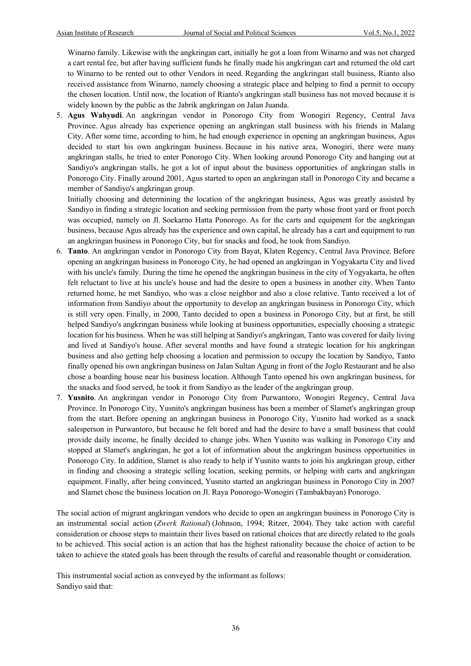Winarno family. Likewise with the angkringan cart, initially he got a loan from Winarno and was not charged a cart rental fee, but after having sufficient funds he finally made his angkringan cart and returned the old cart to Winarno to be rented out to other Vendors in need. Regarding the angkringan stall business, Rianto also received assistance from Winarno, namely choosing a strategic place and helping to find a permit to occupy the chosen location. Until now, the location of Rianto's angkringan stall business has not moved because it is widely known by the public as the Jabrik angkringan on Jalan Juanda.

5. **Agus Wahyudi**. An angkringan vendor in Ponorogo City from Wonogiri Regency, Central Java Province. Agus already has experience opening an angkringan stall business with his friends in Malang City. After some time, according to him, he had enough experience in opening an angkringan business, Agus decided to start his own angkringan business. Because in his native area, Wonogiri, there were many angkringan stalls, he tried to enter Ponorogo City. When looking around Ponorogo City and hanging out at Sandiyo's angkringan stalls, he got a lot of input about the business opportunities of angkringan stalls in Ponorogo City. Finally around 2001, Agus started to open an angkringan stall in Ponorogo City and became a member of Sandiyo's angkringan group.

Initially choosing and determining the location of the angkringan business, Agus was greatly assisted by Sandiyo in finding a strategic location and seeking permission from the party whose front yard or front porch was occupied, namely on Jl. Soekarno Hatta Ponorogo. As for the carts and equipment for the angkringan business, because Agus already has the experience and own capital, he already has a cart and equipment to run an angkringan business in Ponorogo City, but for snacks and food, he took from Sandiyo.

- 6. **Tanto**. An angkringan vendor in Ponorogo City from Bayat, Klaten Regency, Central Java Province. Before opening an angkringan business in Ponorogo City, he had opened an angkringan in Yogyakarta City and lived with his uncle's family. During the time he opened the angkringan business in the city of Yogyakarta, he often felt reluctant to live at his uncle's house and had the desire to open a business in another city. When Tanto returned home, he met Sandiyo, who was a close neighbor and also a close relative. Tanto received a lot of information from Sandiyo about the opportunity to develop an angkringan business in Ponorogo City, which is still very open. Finally, in 2000, Tanto decided to open a business in Ponorogo City, but at first, he still helped Sandiyo's angkringan business while looking at business opportunities, especially choosing a strategic location for his business. When he was still helping at Sandiyo's angkringan, Tanto was covered for daily living and lived at Sandiyo's house. After several months and have found a strategic location for his angkringan business and also getting help choosing a location and permission to occupy the location by Sandiyo, Tanto finally opened his own angkringan business on Jalan Sultan Agung in front of the Joglo Restaurant and he also chose a boarding house near his business location. Although Tanto opened his own angkringan business, for the snacks and food served, he took it from Sandiyo as the leader of the angkringan group.
- 7. **Yusnito**. An angkringan vendor in Ponorogo City from Purwantoro, Wonogiri Regency, Central Java Province. In Ponorogo City, Yusnito's angkringan business has been a member of Slamet's angkringan group from the start. Before opening an angkringan business in Ponorogo City, Yusnito had worked as a snack salesperson in Purwantoro, but because he felt bored and had the desire to have a small business that could provide daily income, he finally decided to change jobs. When Yusnito was walking in Ponorogo City and stopped at Slamet's angkringan, he got a lot of information about the angkringan business opportunities in Ponorogo City. In addition, Slamet is also ready to help if Yusnito wants to join his angkringan group, either in finding and choosing a strategic selling location, seeking permits, or helping with carts and angkringan equipment. Finally, after being convinced, Yusnito started an angkringan business in Ponorogo City in 2007 and Slamet chose the business location on Jl. Raya Ponorogo-Wonogiri (Tambakbayan) Ponorogo.

The social action of migrant angkringan vendors who decide to open an angkringan business in Ponorogo City is an instrumental social action (*Zwerk Rational*) (Johnson, 1994; Ritzer, 2004). They take action with careful consideration or choose steps to maintain their lives based on rational choices that are directly related to the goals to be achieved. This social action is an action that has the highest rationality because the choice of action to be taken to achieve the stated goals has been through the results of careful and reasonable thought or consideration.

This instrumental social action as conveyed by the informant as follows: Sandiyo said that: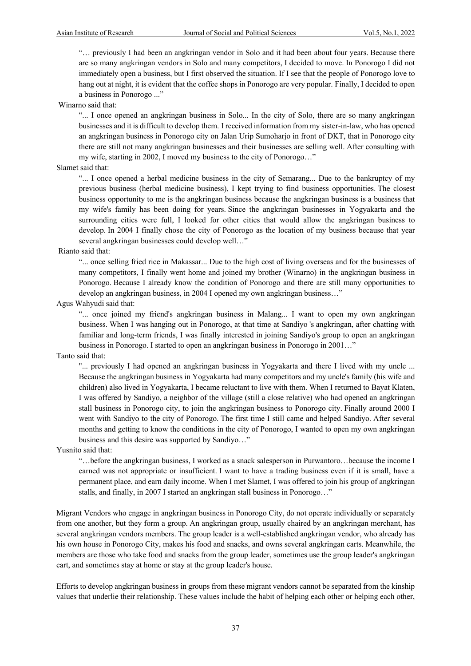"… previously I had been an angkringan vendor in Solo and it had been about four years. Because there are so many angkringan vendors in Solo and many competitors, I decided to move. In Ponorogo I did not immediately open a business, but I first observed the situation. If I see that the people of Ponorogo love to hang out at night, it is evident that the coffee shops in Ponorogo are very popular. Finally, I decided to open a business in Ponorogo ..."

Winarno said that:

"... I once opened an angkringan business in Solo... In the city of Solo, there are so many angkringan businesses and it is difficult to develop them. I received information from my sister-in-law, who has opened an angkringan business in Ponorogo city on Jalan Urip Sumoharjo in front of DKT, that in Ponorogo city there are still not many angkringan businesses and their businesses are selling well. After consulting with my wife, starting in 2002, I moved my business to the city of Ponorogo…"

#### Slamet said that:

"... I once opened a herbal medicine business in the city of Semarang... Due to the bankruptcy of my previous business (herbal medicine business), I kept trying to find business opportunities. The closest business opportunity to me is the angkringan business because the angkringan business is a business that my wife's family has been doing for years. Since the angkringan businesses in Yogyakarta and the surrounding cities were full, I looked for other cities that would allow the angkringan business to develop. In 2004 I finally chose the city of Ponorogo as the location of my business because that year several angkringan businesses could develop well…"

#### Rianto said that:

"... once selling fried rice in Makassar... Due to the high cost of living overseas and for the businesses of many competitors, I finally went home and joined my brother (Winarno) in the angkringan business in Ponorogo. Because I already know the condition of Ponorogo and there are still many opportunities to develop an angkringan business, in 2004 I opened my own angkringan business…"

#### Agus Wahyudi said that:

"... once joined my friend's angkringan business in Malang... I want to open my own angkringan business. When I was hanging out in Ponorogo, at that time at Sandiyo 's angkringan, after chatting with familiar and long-term friends, I was finally interested in joining Sandiyo's group to open an angkringan business in Ponorogo. I started to open an angkringan business in Ponorogo in 2001…"

#### Tanto said that:

"... previously I had opened an angkringan business in Yogyakarta and there I lived with my uncle ... Because the angkringan business in Yogyakarta had many competitors and my uncle's family (his wife and children) also lived in Yogyakarta, I became reluctant to live with them. When I returned to Bayat Klaten, I was offered by Sandiyo, a neighbor of the village (still a close relative) who had opened an angkringan stall business in Ponorogo city, to join the angkringan business to Ponorogo city. Finally around 2000 I went with Sandiyo to the city of Ponorogo. The first time I still came and helped Sandiyo. After several months and getting to know the conditions in the city of Ponorogo, I wanted to open my own angkringan business and this desire was supported by Sandiyo…"

Yusnito said that:

"…before the angkringan business, I worked as a snack salesperson in Purwantoro…because the income I earned was not appropriate or insufficient. I want to have a trading business even if it is small, have a permanent place, and earn daily income. When I met Slamet, I was offered to join his group of angkringan stalls, and finally, in 2007 I started an angkringan stall business in Ponorogo…"

Migrant Vendors who engage in angkringan business in Ponorogo City, do not operate individually or separately from one another, but they form a group. An angkringan group, usually chaired by an angkringan merchant, has several angkringan vendors members. The group leader is a well-established angkringan vendor, who already has his own house in Ponorogo City, makes his food and snacks, and owns several angkringan carts. Meanwhile, the members are those who take food and snacks from the group leader, sometimes use the group leader's angkringan cart, and sometimes stay at home or stay at the group leader's house.

Efforts to develop angkringan business in groups from these migrant vendors cannot be separated from the kinship values that underlie their relationship. These values include the habit of helping each other or helping each other,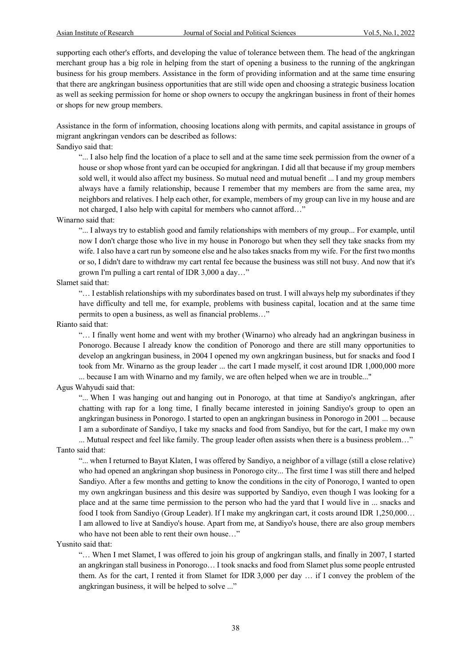supporting each other's efforts, and developing the value of tolerance between them. The head of the angkringan merchant group has a big role in helping from the start of opening a business to the running of the angkringan business for his group members. Assistance in the form of providing information and at the same time ensuring that there are angkringan business opportunities that are still wide open and choosing a strategic business location as well as seeking permission for home or shop owners to occupy the angkringan business in front of their homes or shops for new group members.

Assistance in the form of information, choosing locations along with permits, and capital assistance in groups of migrant angkringan vendors can be described as follows:

Sandiyo said that:

"... I also help find the location of a place to sell and at the same time seek permission from the owner of a house or shop whose front yard can be occupied for angkringan. I did all that because if my group members sold well, it would also affect my business. So mutual need and mutual benefit ... I and my group members always have a family relationship, because I remember that my members are from the same area, my neighbors and relatives. I help each other, for example, members of my group can live in my house and are not charged, I also help with capital for members who cannot afford…"

#### Winarno said that:

"... I always try to establish good and family relationships with members of my group... For example, until now I don't charge those who live in my house in Ponorogo but when they sell they take snacks from my wife. I also have a cart run by someone else and he also takes snacks from my wife. For the first two months or so, I didn't dare to withdraw my cart rental fee because the business was still not busy. And now that it's grown I'm pulling a cart rental of IDR 3,000 a day…"

#### Slamet said that:

"… I establish relationships with my subordinates based on trust. I will always help my subordinates if they have difficulty and tell me, for example, problems with business capital, location and at the same time permits to open a business, as well as financial problems…"

Rianto said that:

"… I finally went home and went with my brother (Winarno) who already had an angkringan business in Ponorogo. Because I already know the condition of Ponorogo and there are still many opportunities to develop an angkringan business, in 2004 I opened my own angkringan business, but for snacks and food I took from Mr. Winarno as the group leader ... the cart I made myself, it cost around IDR 1,000,000 more ... because I am with Winarno and my family, we are often helped when we are in trouble..."

#### Agus Wahyudi said that:

"... When I was hanging out and hanging out in Ponorogo, at that time at Sandiyo's angkringan, after chatting with rap for a long time, I finally became interested in joining Sandiyo's group to open an angkringan business in Ponorogo. I started to open an angkringan business in Ponorogo in 2001 ... because I am a subordinate of Sandiyo, I take my snacks and food from Sandiyo, but for the cart, I make my own ... Mutual respect and feel like family. The group leader often assists when there is a business problem…"

#### Tanto said that:

"... when I returned to Bayat Klaten, I was offered by Sandiyo, a neighbor of a village (still a close relative) who had opened an angkringan shop business in Ponorogo city... The first time I was still there and helped Sandiyo. After a few months and getting to know the conditions in the city of Ponorogo, I wanted to open my own angkringan business and this desire was supported by Sandiyo, even though I was looking for a place and at the same time permission to the person who had the yard that I would live in ... snacks and food I took from Sandiyo (Group Leader). If I make my angkringan cart, it costs around IDR 1,250,000… I am allowed to live at Sandiyo's house. Apart from me, at Sandiyo's house, there are also group members who have not been able to rent their own house…"

#### Yusnito said that:

"… When I met Slamet, I was offered to join his group of angkringan stalls, and finally in 2007, I started an angkringan stall business in Ponorogo… I took snacks and food from Slamet plus some people entrusted them. As for the cart, I rented it from Slamet for IDR 3,000 per day … if I convey the problem of the angkringan business, it will be helped to solve ..."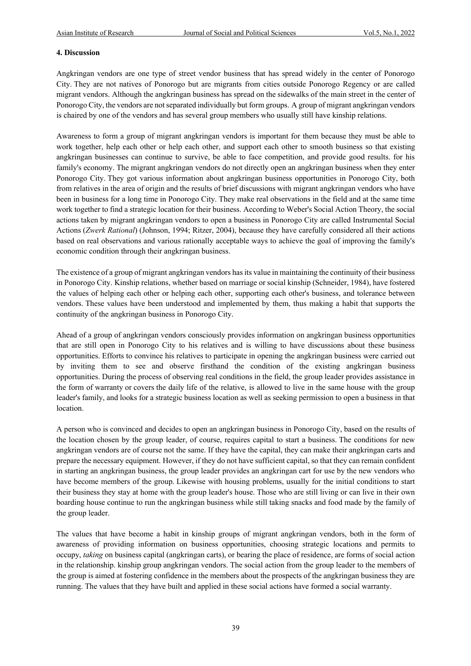#### **4. Discussion**

Angkringan vendors are one type of street vendor business that has spread widely in the center of Ponorogo City. They are not natives of Ponorogo but are migrants from cities outside Ponorogo Regency or are called migrant vendors. Although the angkringan business has spread on the sidewalks of the main street in the center of Ponorogo City, the vendors are not separated individually but form groups. A group of migrant angkringan vendors is chaired by one of the vendors and has several group members who usually still have kinship relations.

Awareness to form a group of migrant angkringan vendors is important for them because they must be able to work together, help each other or help each other, and support each other to smooth business so that existing angkringan businesses can continue to survive, be able to face competition, and provide good results. for his family's economy. The migrant angkringan vendors do not directly open an angkringan business when they enter Ponorogo City. They got various information about angkringan business opportunities in Ponorogo City, both from relatives in the area of origin and the results of brief discussions with migrant angkringan vendors who have been in business for a long time in Ponorogo City. They make real observations in the field and at the same time work together to find a strategic location for their business. According to Weber's Social Action Theory, the social actions taken by migrant angkringan vendors to open a business in Ponorogo City are called Instrumental Social Actions (*Zwerk Rational*) (Johnson, 1994; Ritzer, 2004), because they have carefully considered all their actions based on real observations and various rationally acceptable ways to achieve the goal of improving the family's economic condition through their angkringan business.

The existence of a group of migrant angkringan vendors has its value in maintaining the continuity of their business in Ponorogo City. Kinship relations, whether based on marriage or social kinship (Schneider, 1984), have fostered the values of helping each other or helping each other, supporting each other's business, and tolerance between vendors. These values have been understood and implemented by them, thus making a habit that supports the continuity of the angkringan business in Ponorogo City.

Ahead of a group of angkringan vendors consciously provides information on angkringan business opportunities that are still open in Ponorogo City to his relatives and is willing to have discussions about these business opportunities. Efforts to convince his relatives to participate in opening the angkringan business were carried out by inviting them to see and observe firsthand the condition of the existing angkringan business opportunities. During the process of observing real conditions in the field, the group leader provides assistance in the form of warranty or covers the daily life of the relative, is allowed to live in the same house with the group leader's family, and looks for a strategic business location as well as seeking permission to open a business in that location.

A person who is convinced and decides to open an angkringan business in Ponorogo City, based on the results of the location chosen by the group leader, of course, requires capital to start a business. The conditions for new angkringan vendors are of course not the same. If they have the capital, they can make their angkringan carts and prepare the necessary equipment. However, if they do not have sufficient capital, so that they can remain confident in starting an angkringan business, the group leader provides an angkringan cart for use by the new vendors who have become members of the group. Likewise with housing problems, usually for the initial conditions to start their business they stay at home with the group leader's house. Those who are still living or can live in their own boarding house continue to run the angkringan business while still taking snacks and food made by the family of the group leader.

The values that have become a habit in kinship groups of migrant angkringan vendors, both in the form of awareness of providing information on business opportunities, choosing strategic locations and permits to occupy, *taking* on business capital (angkringan carts), or bearing the place of residence, are forms of social action in the relationship. kinship group angkringan vendors. The social action from the group leader to the members of the group is aimed at fostering confidence in the members about the prospects of the angkringan business they are running. The values that they have built and applied in these social actions have formed a social warranty.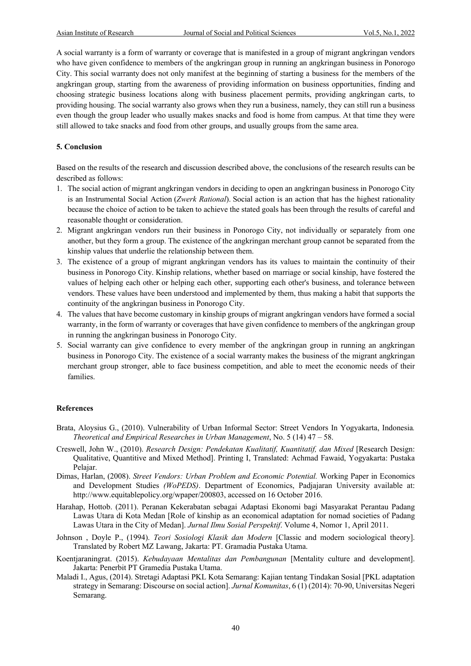A social warranty is a form of warranty or coverage that is manifested in a group of migrant angkringan vendors who have given confidence to members of the angkringan group in running an angkringan business in Ponorogo City. This social warranty does not only manifest at the beginning of starting a business for the members of the angkringan group, starting from the awareness of providing information on business opportunities, finding and choosing strategic business locations along with business placement permits, providing angkringan carts, to providing housing. The social warranty also grows when they run a business, namely, they can still run a business even though the group leader who usually makes snacks and food is home from campus. At that time they were still allowed to take snacks and food from other groups, and usually groups from the same area.

#### **5. Conclusion**

Based on the results of the research and discussion described above, the conclusions of the research results can be described as follows:

- 1. The social action of migrant angkringan vendors in deciding to open an angkringan business in Ponorogo City is an Instrumental Social Action (*Zwerk Rational*). Social action is an action that has the highest rationality because the choice of action to be taken to achieve the stated goals has been through the results of careful and reasonable thought or consideration.
- 2. Migrant angkringan vendors run their business in Ponorogo City, not individually or separately from one another, but they form a group. The existence of the angkringan merchant group cannot be separated from the kinship values that underlie the relationship between them.
- 3. The existence of a group of migrant angkringan vendors has its values to maintain the continuity of their business in Ponorogo City. Kinship relations, whether based on marriage or social kinship, have fostered the values of helping each other or helping each other, supporting each other's business, and tolerance between vendors. These values have been understood and implemented by them, thus making a habit that supports the continuity of the angkringan business in Ponorogo City.
- 4. The values that have become customary in kinship groups of migrant angkringan vendors have formed a social warranty, in the form of warranty or coverages that have given confidence to members of the angkringan group in running the angkringan business in Ponorogo City.
- 5. Social warranty can give confidence to every member of the angkringan group in running an angkringan business in Ponorogo City. The existence of a social warranty makes the business of the migrant angkringan merchant group stronger, able to face business competition, and able to meet the economic needs of their families.

#### **References**

- Brata, Aloysius G., (2010). Vulnerability of Urban Informal Sector: Street Vendors In Yogyakarta, Indonesia*. Theoretical and Empirical Researches in Urban Management*, No. 5 (14) 47 – 58.
- Creswell, John W., (2010). *Research Design: Pendekatan Kualitatif, Kuantitatif, dan Mixed* [Research Design: Qualitative, Quantitive and Mixed Method]. Printing I, Translated: Achmad Fawaid, Yogyakarta: Pustaka Pelajar.
- Dimas, Harlan, (2008). *Street Vendors: Urban Problem and Economic Potential.* Working Paper in Economics and Development Studies *(WoPEDS)*. Department of Economics, Padjajaran University available at: http://www.equitablepolicy.org/wpaper/200803, accessed on 16 October 2016.
- Harahap, Hottob. (2011). Peranan Kekerabatan sebagai Adaptasi Ekonomi bagi Masyarakat Perantau Padang Lawas Utara di Kota Medan [Role of kinship as an economical adaptation for nomad societies of Padang Lawas Utara in the City of Medan]. *Jurnal Ilmu Sosial Perspektif*. Volume 4, Nomor 1, April 2011.
- Johnson , Doyle P., (1994). *Teori Sosiologi Klasik dan Modern* [Classic and modern sociological theory]. Translated by Robert MZ Lawang, Jakarta: PT. Gramadia Pustaka Utama.
- Koentjaraningrat. (2015). *Kebudayaan Mentalitas dan Pembangunan* [Mentality culture and development]. Jakarta: Penerbit PT Gramedia Pustaka Utama.
- Maladi I., Agus, (2014). Stretagi Adaptasi PKL Kota Semarang: Kajian tentang Tindakan Sosial [PKL adaptation strategy in Semarang: Discourse on social action]. *Jurnal Komunitas*, 6 (1) (2014): 70-90, Universitas Negeri Semarang.